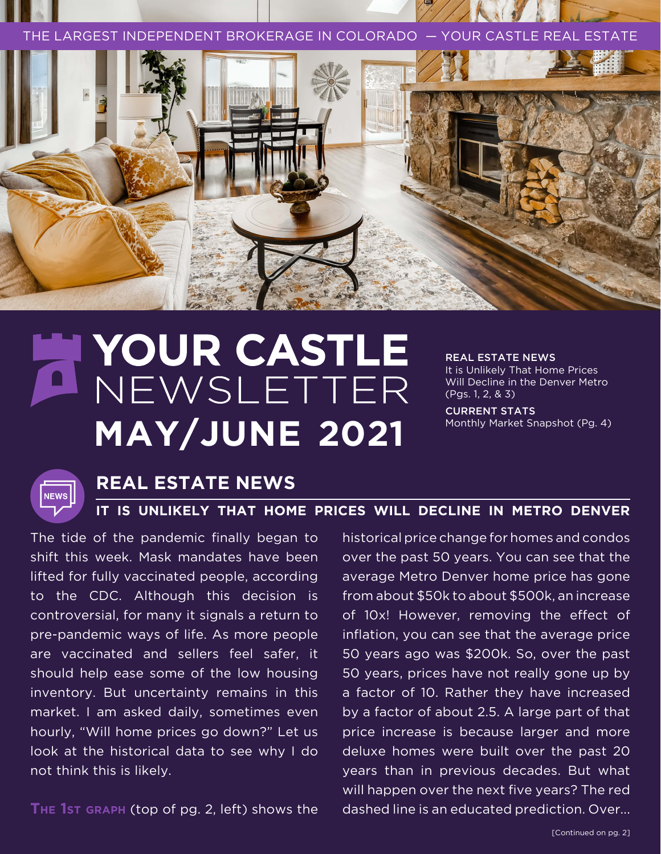E LARGEST INDEPENDENT BROKERAGE IN COLORADO —



# NEWSLETTER NEWSLETTER **MAY/JUNE 2021**

REAL ESTATE NEWS It is Unlikely That Home Prices Will Decline in the Denver Metro

(Pgs. 1, 2, & 3) CURRENT STATS

Monthly Market Snapshot (Pg. 4)



### **REAL ESTATE NEWS**

#### **IT IS UNLIKELY THAT HOME PRICES WILL DECLINE IN METRO DENVER**

The tide of the pandemic finally began to shift this week. Mask mandates have been lifted for fully vaccinated people, according to the CDC. Although this decision is controversial, for many it signals a return to pre-pandemic ways of life. As more people are vaccinated and sellers feel safer, it should help ease some of the low housing inventory. But uncertainty remains in this market. I am asked daily, sometimes even hourly, "Will home prices go down?" Let us look at the historical data to see why I do not think this is likely.

**The 1st graph** (top of pg. 2, left) shows the

historical price change for homes and condos over the past 50 years. You can see that the average Metro Denver home price has gone from about \$50k to about \$500k, an increase of 10x! However, removing the effect of inflation, you can see that the average price 50 years ago was \$200k. So, over the past 50 years, prices have not really gone up by a factor of 10. Rather they have increased by a factor of about 2.5. A large part of that price increase is because larger and more deluxe homes were built over the past 20 years than in previous decades. But what will happen over the next five years? The red dashed line is an educated prediction. Over...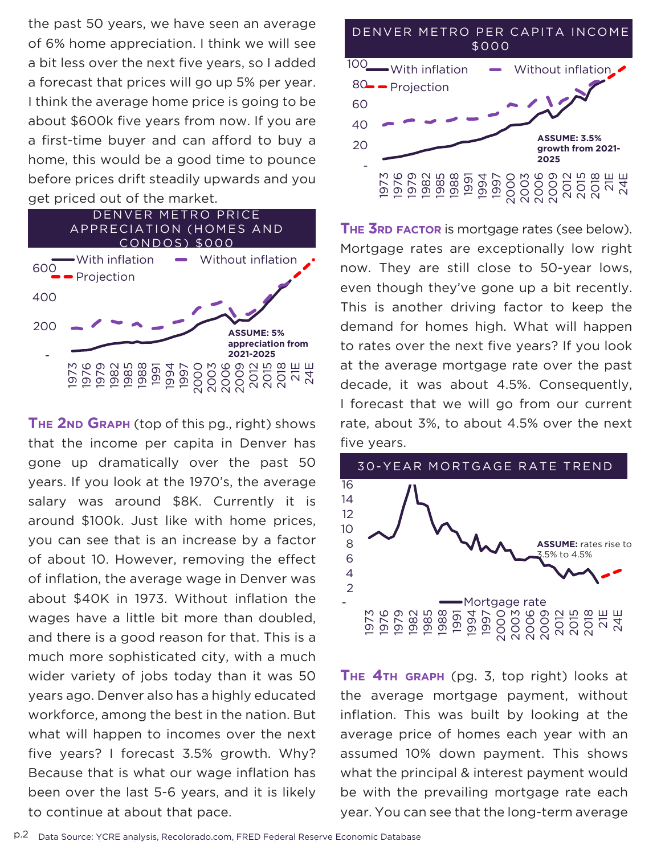the past 50 years, we have seen an average of 6% home appreciation. I think we will see a bit less over the next five years, so I added a forecast that prices will go up 5% per year. I think the average home price is going to be about \$600k five years from now. If you are a first-time buyer and can afford to buy a home, this would be a good time to pounce before prices drift steadily upwards and you<br>get priced out of the market. before prices drift steadily up<br>get priced out of the market. Condos de la condominación de la condominación de la condominación de la condominación de la condominación de<br>Condominación de la condominación de la condominación de la condominación de la condominación de la condominac  $\frac{1}{2}$  over the next five years, so raddi **appreciation from 2021-2025**



alary was around \$8K. Currently it is <sup>12</sup> 200 14 gone up dramatically over the past 50 THE 2ND GRAPH (top of this pg., right) shows rate, about 3%, to about 4.5% over the nex around \$100k. Just like with home prices,<br>you can see that is an increase by a factor - Because that is what our wage inflation has 2 five years? I forecast 3.5% growth. Why? 4 what will happen to incomes over the next 6 3.5% to 4.5% workforce, among the best in the nation. But 8 years ago. Denver also has a highly educated 10 wider variety of jobs today than it was 50 much more sophisticated city, with a much and there is a good reason for that. This is a 16 Your Castle Real Estate – 2021 – 1Q Trends Supplement **303.962.4272 | yourcastle.com 6** Data Source: YCRE analysis, Recolorado.com, FRED Federal Reserve Economic Database wages have a little bit more than doubled, been over the last 5-6 years, a<br>to continue at about that pace. been over the last 5-6 years, and it is likely<br>to continue at about that pace.  $\overline{a}$  $\epsilon$  4 you can see that is an increase by a factor  $\overline{\phantom{a}}$ years. If you look at the 1970's, the average 16 that the income per capita in Denver has of inflation, the average wage in Denver was<br>about \$40K in 1973. Without inflation the of about 10. However, removing the effect  $\frac{6}{4}$ salary was around \$8K. Currently it is



wen mough mey ve gone up a bit recently.<br>Fhis is another driving factor to keep the mes high. What will happen i look I forecast that we will go from our current<br>rate, about 3%, to about 4.5% over the next decade, it was about 4.5%. Consequently,<br>1 forecast that we will go from our current<br>rate about 3% to about 4.5% over the next e mo e average mortgage rate over tne past<br>de, it was about 4.5%. Consequently, <u>DE 7 de janeiro de la compa</u>ción de la compacter de la compacter de la compacter de la compacter de la compacter<br>De 2 de janeiro de la compacter de la compacter de la compacter de la compacter de la compacter de la compac **THE 3RD FACTOR** is mortgage rates (see below). zoniana for nomes ingit what will happ <sup>110</sup>  $\overline{O}$ <u>P</u>IOI pas<br>با+مد With inflation Without inflation Projection **2025** five years. 3000 - YEAR MORTGAGE RATE TREND AVERAGE PAY MORTGAGE PAY AVERAGE PAY AVERAGE PAY AVERAGE PAY AVERAGE PAY AVERAGE PAY AVERAGE PAY AVERAGE PAY AVERAGE PAY AVERAGE PAY AVERAGE PAY AVERAGE PAY AVERAGE PAY AVERAGE PAY AVERAGE P at the average mortgage rate over the past 1,000 Avg P demand for homes high. What will happen This is another driving factor to keep the even though they've gone up a bit recently. arranging carry in a cheep manning can engine decade, it was about 4.5%. Consequently, to rates over the next five years? If you look With they are gone up a bit recent  $C$ <sup>approve</sup> **2021-2025**



be with the prevailing mortgage rate each<br>year. You can see that the long-term average be with the prevailing mortgage rate each<br>vear. You can see that the long-term average wage inflation has what the principal & interest payment would assumed 10% down payment. This shows  $1000$ ated the average mortgage payment, without THE 4TH GRAPH (pg. 3, top right) looks at  $rac{xy}{2}$ average price of homes each year with an inflation. This was built by looking at the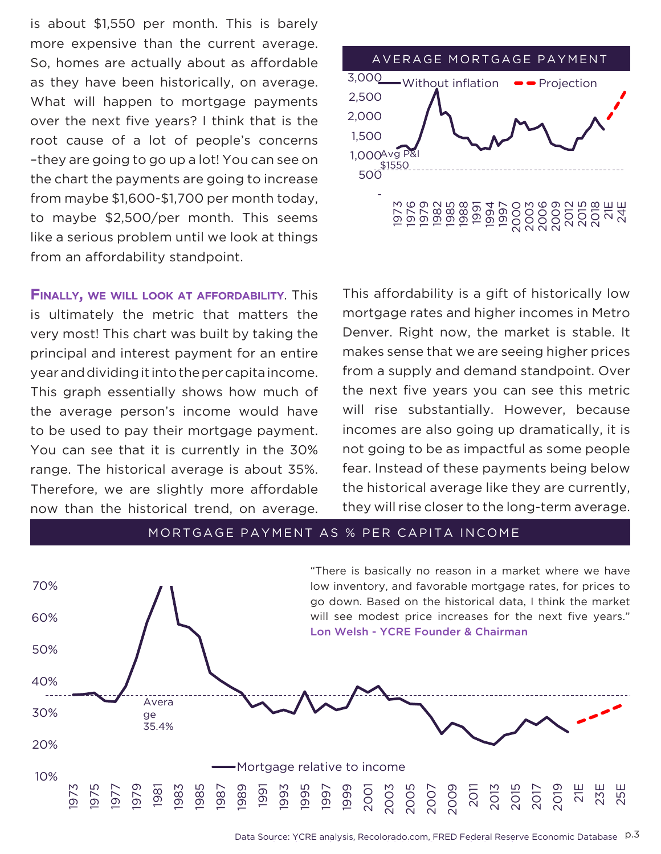Your Castle Real Estate – 2021 – 1Q Trends Supplement **303.962.4272 | yourcastle.com 6** like a serious problem until we look at things is about \$1,550 per month. This is barely from maybe \$1,600-\$1,700 per month today, 2 the chart the payments are going to increase  $\frac{1}{2}$  6 –they are going to go up a lot! You can see on of cause of a lot of neonle's concerns over the next five years? I think that is the <u>11</u>  $\frac{1}{\sqrt{1+\epsilon}}$ as they have been historically, on average. 1911 Maybe 41,000 41,000 per month. This seems root cause of a lot of people's concerns more expensive than the current average. So, homes are actually about as affordable What will happen to mortgage payments from an affordability standpoint.

**Finally, we will look at affordability**. This is ultimately the metric that matters the very most! This chart was built by taking the principal and interest payment for an entire year and dividing it into the per capita income. This graph essentially shows how much of the average person's income would have You can see that it is currently in the 30% hot going to be as impactful as some p range. The historical average is about 35%. Fear. Instead of these payments being belo Therefore, we are slightly more affordable the historical average like they are cu now than the historical trend, on average. Ithey will rise closer to the long-term aver age p



to be used to pay their mortgage payment. Incomes are also going up dramatically, it is This affordability is a gift of historically low e mortgage rates and higher incomes in Metro ng the Denver. Right now, the market is stable. It makes sense that we are seeing higher prices ome. from a supply and demand standpoint. Over the next five years you can see this metric have and the substantially. However, because whense substantially. However, because not going to be as impactful as some people fear. Instead of these payments being below the historical average like they are currently, **appreciation from**  they will rise closer to the long-term average. **2021-2025** 2015 2018 21E 24E 100

## MORTGAGE PAYMENT AS % PER CAPITA INCOME